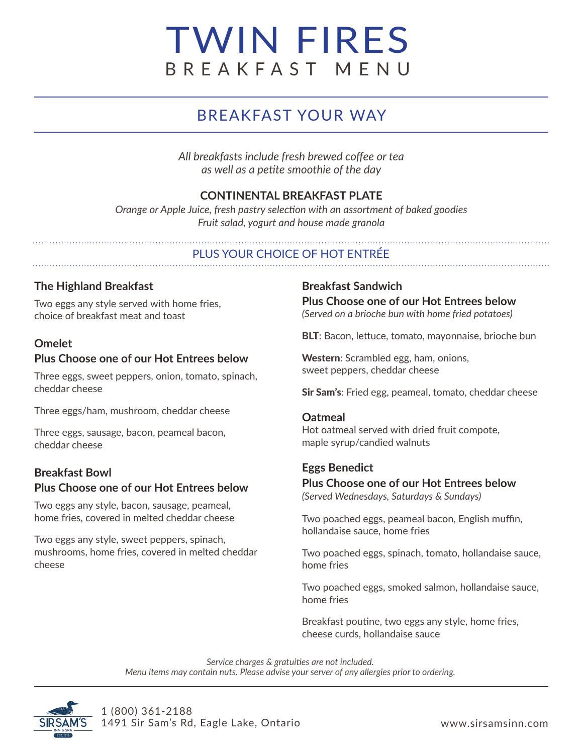## TWIN FIRES BREAKFAST MENU

## BREAKFAST YOUR WAY

*All breakfasts include fresh brewed coffee or tea as well as a petite smoothie of the day*

## **CONTINENTAL BREAKFAST PLATE**

*Orange or Apple Juice, fresh pastry selection with an assortment of baked goodies Fruit salad, yogurt and house made granola*

## PLUS YOUR CHOICE OF HOT ENTRÉE

## **The Highland Breakfast**

Two eggs any style served with home fries, choice of breakfast meat and toast

## **Omelet**

#### **Plus Choose one of our Hot Entrees below**

Three eggs, sweet peppers, onion, tomato, spinach, cheddar cheese

Three eggs/ham, mushroom, cheddar cheese

Three eggs, sausage, bacon, peameal bacon, cheddar cheese

## **Breakfast Bowl**

## **Plus Choose one of our Hot Entrees below**

Two eggs any style, bacon, sausage, peameal, home fries, covered in melted cheddar cheese

Two eggs any style, sweet peppers, spinach, mushrooms, home fries, covered in melted cheddar cheese

## **Breakfast Sandwich**

**Plus Choose one of our Hot Entrees below** *(Served on a brioche bun with home fried potatoes)*

**BLT**: Bacon, lettuce, tomato, mayonnaise, brioche bun

Western: Scrambled egg, ham, onions, sweet peppers, cheddar cheese

Sir Sam's: Fried egg, peameal, tomato, cheddar cheese

#### **Oatmeal**

Hot oatmeal served with dried fruit compote, maple syrup/candied walnuts

#### **Eggs Benedict Plus Choose one of our Hot Entrees below** *(Served Wednesdays, Saturdays & Sundays)*

Two poached eggs, peameal bacon, English muffin, hollandaise sauce, home fries

Two poached eggs, spinach, tomato, hollandaise sauce, home fries

Two poached eggs, smoked salmon, hollandaise sauce, home fries

Breakfast poutine, two eggs any style, home fries, cheese curds, hollandaise sauce

*Service charges & gratuities are not included.*

*Menu items may contain nuts. Please advise your server of any allergies prior to ordering.*